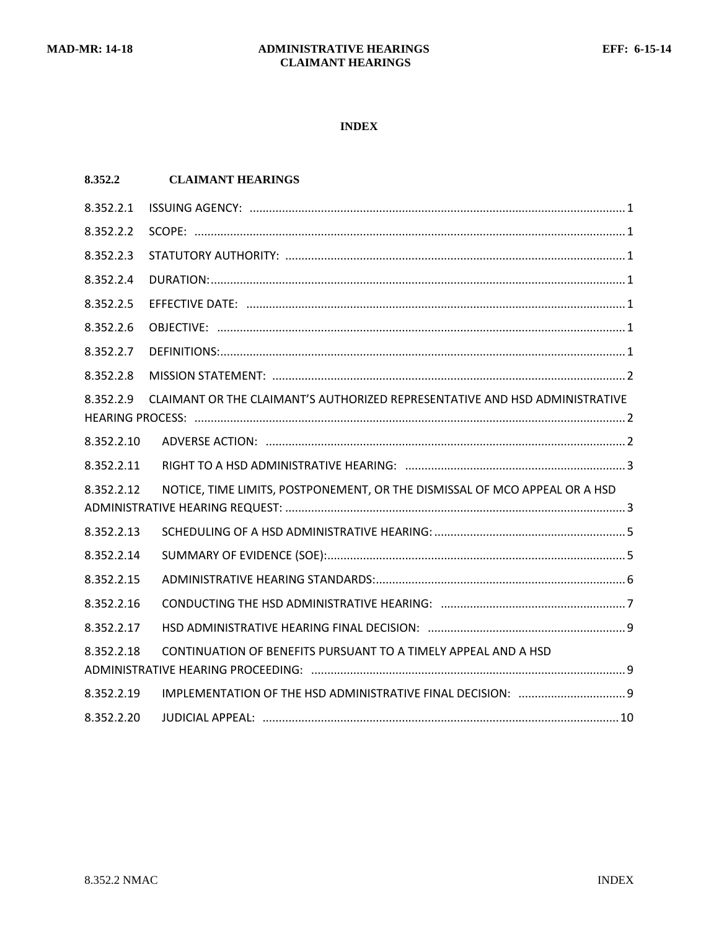# **ADMINISTRATIVE HEARINGS CLAIMANT HEARINGS**

## **INDEX**

| 8.352.2    | <b>CLAIMANT HEARINGS</b>                                                    |  |
|------------|-----------------------------------------------------------------------------|--|
| 8.352.2.1  |                                                                             |  |
| 8.352.2.2  |                                                                             |  |
| 8.352.2.3  |                                                                             |  |
| 8.352.2.4  |                                                                             |  |
| 8.352.2.5  |                                                                             |  |
| 8.352.2.6  |                                                                             |  |
| 8.352.2.7  |                                                                             |  |
| 8.352.2.8  |                                                                             |  |
| 8.352.2.9  | CLAIMANT OR THE CLAIMANT'S AUTHORIZED REPRESENTATIVE AND HSD ADMINISTRATIVE |  |
| 8.352.2.10 |                                                                             |  |
| 8.352.2.11 |                                                                             |  |
| 8.352.2.12 | NOTICE, TIME LIMITS, POSTPONEMENT, OR THE DISMISSAL OF MCO APPEAL OR A HSD  |  |
| 8.352.2.13 |                                                                             |  |
| 8.352.2.14 |                                                                             |  |
| 8.352.2.15 |                                                                             |  |
| 8.352.2.16 |                                                                             |  |
| 8.352.2.17 |                                                                             |  |
| 8.352.2.18 | CONTINUATION OF BENEFITS PURSUANT TO A TIMELY APPEAL AND A HSD              |  |
| 8.352.2.19 |                                                                             |  |
| 8.352.2.20 |                                                                             |  |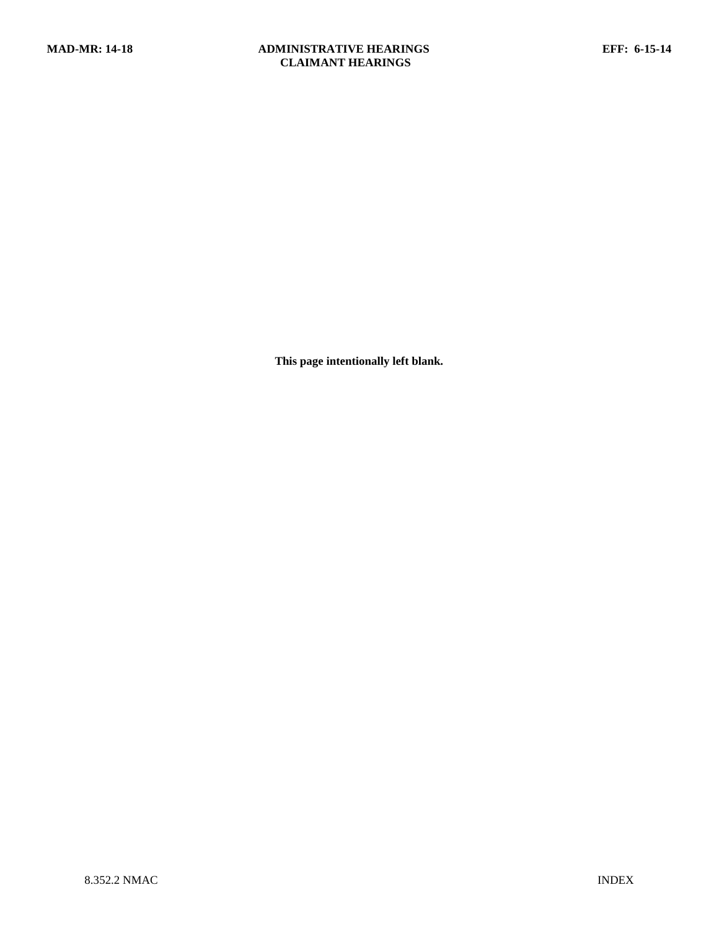**This page intentionally left blank.**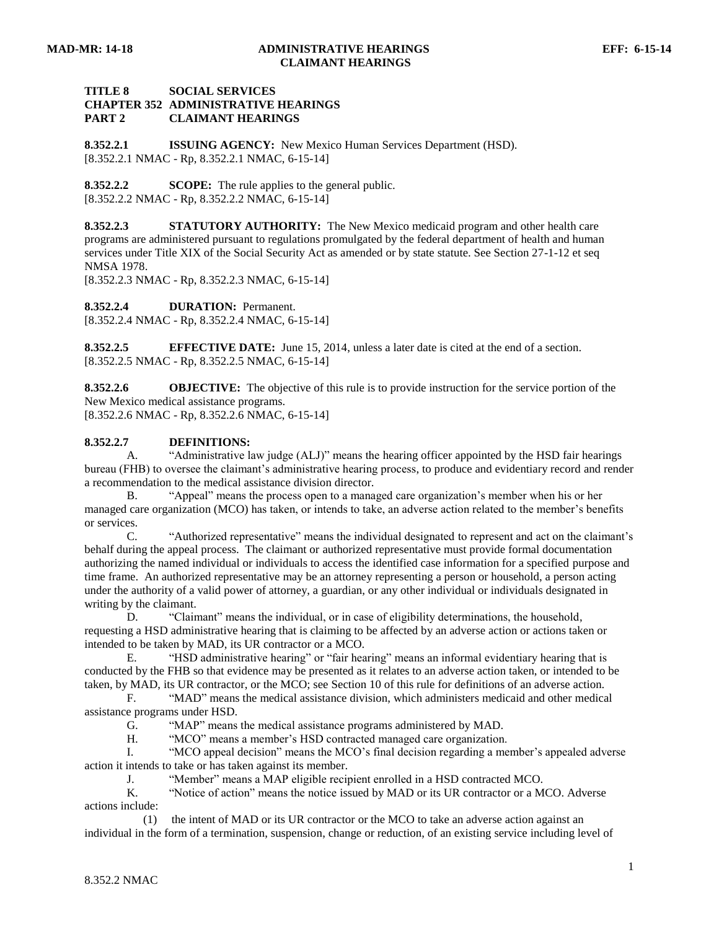## **TITLE 8 SOCIAL SERVICES CHAPTER 352 ADMINISTRATIVE HEARINGS PART 2 CLAIMANT HEARINGS**

<span id="page-2-0"></span>**8.352.2.1 ISSUING AGENCY:** New Mexico Human Services Department (HSD). [8.352.2.1 NMAC - Rp, 8.352.2.1 NMAC, 6-15-14]

<span id="page-2-1"></span>**8.352.2.2 SCOPE:** The rule applies to the general public. [8.352.2.2 NMAC - Rp, 8.352.2.2 NMAC, 6-15-14]

<span id="page-2-2"></span>**8.352.2.3 STATUTORY AUTHORITY:** The New Mexico medicaid program and other health care programs are administered pursuant to regulations promulgated by the federal department of health and human services under Title XIX of the Social Security Act as amended or by state statute. See Section 27-1-12 et seq NMSA 1978.

[8.352.2.3 NMAC - Rp, 8.352.2.3 NMAC, 6-15-14]

<span id="page-2-3"></span>**8.352.2.4 DURATION:** Permanent.

[8.352.2.4 NMAC - Rp, 8.352.2.4 NMAC, 6-15-14]

<span id="page-2-4"></span>**8.352.2.5 EFFECTIVE DATE:** June 15, 2014, unless a later date is cited at the end of a section. [8.352.2.5 NMAC - Rp, 8.352.2.5 NMAC, 6-15-14]

<span id="page-2-5"></span>**8.352.2.6 OBJECTIVE:** The objective of this rule is to provide instruction for the service portion of the New Mexico medical assistance programs. [8.352.2.6 NMAC - Rp, 8.352.2.6 NMAC, 6-15-14]

## <span id="page-2-6"></span>**8.352.2.7 DEFINITIONS:**

A. "Administrative law judge (ALJ)" means the hearing officer appointed by the HSD fair hearings bureau (FHB) to oversee the claimant's administrative hearing process, to produce and evidentiary record and render a recommendation to the medical assistance division director.

B. "Appeal" means the process open to a managed care organization's member when his or her managed care organization (MCO) has taken, or intends to take, an adverse action related to the member's benefits or services.

C. "Authorized representative" means the individual designated to represent and act on the claimant's behalf during the appeal process. The claimant or authorized representative must provide formal documentation authorizing the named individual or individuals to access the identified case information for a specified purpose and time frame. An authorized representative may be an attorney representing a person or household, a person acting under the authority of a valid power of attorney, a guardian, or any other individual or individuals designated in writing by the claimant.

D. "Claimant" means the individual, or in case of eligibility determinations, the household, requesting a HSD administrative hearing that is claiming to be affected by an adverse action or actions taken or intended to be taken by MAD, its UR contractor or a MCO.

E. "HSD administrative hearing" or "fair hearing" means an informal evidentiary hearing that is conducted by the FHB so that evidence may be presented as it relates to an adverse action taken, or intended to be taken, by MAD, its UR contractor, or the MCO; see Section 10 of this rule for definitions of an adverse action.

F. "MAD" means the medical assistance division, which administers medicaid and other medical assistance programs under HSD.

G. "MAP" means the medical assistance programs administered by MAD.

H. "MCO" means a member's HSD contracted managed care organization.

I. "MCO appeal decision" means the MCO's final decision regarding a member's appealed adverse action it intends to take or has taken against its member.

J. "Member" means a MAP eligible recipient enrolled in a HSD contracted MCO.

K. "Notice of action" means the notice issued by MAD or its UR contractor or a MCO. Adverse actions include:

 (1) the intent of MAD or its UR contractor or the MCO to take an adverse action against an individual in the form of a termination, suspension, change or reduction, of an existing service including level of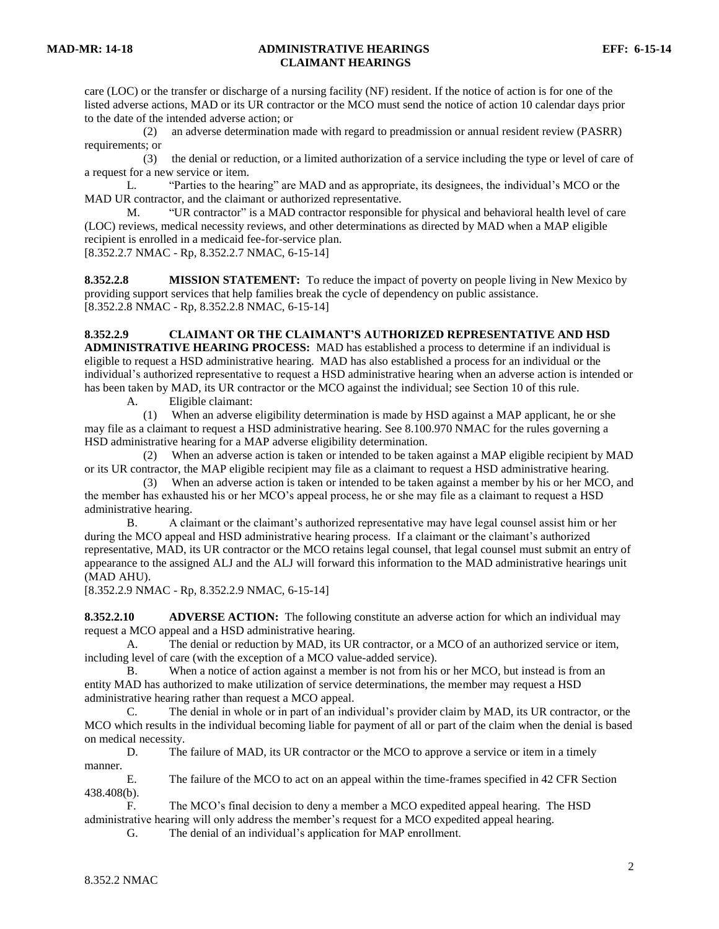care (LOC) or the transfer or discharge of a nursing facility (NF) resident. If the notice of action is for one of the listed adverse actions, MAD or its UR contractor or the MCO must send the notice of action 10 calendar days prior to the date of the intended adverse action; or

 (2) an adverse determination made with regard to preadmission or annual resident review (PASRR) requirements; or

 (3) the denial or reduction, or a limited authorization of a service including the type or level of care of a request for a new service or item.

L. "Parties to the hearing" are MAD and as appropriate, its designees, the individual's MCO or the MAD UR contractor, and the claimant or authorized representative.

M. "UR contractor" is a MAD contractor responsible for physical and behavioral health level of care (LOC) reviews, medical necessity reviews, and other determinations as directed by MAD when a MAP eligible recipient is enrolled in a medicaid fee-for-service plan.

[8.352.2.7 NMAC - Rp, 8.352.2.7 NMAC, 6-15-14]

<span id="page-3-0"></span>**8.352.2.8 MISSION STATEMENT:** To reduce the impact of poverty on people living in New Mexico by providing support services that help families break the cycle of dependency on public assistance. [8.352.2.8 NMAC - Rp, 8.352.2.8 NMAC, 6-15-14]

<span id="page-3-1"></span>**8.352.2.9 CLAIMANT OR THE CLAIMANT'S AUTHORIZED REPRESENTATIVE AND HSD ADMINISTRATIVE HEARING PROCESS:** MAD has established a process to determine if an individual is eligible to request a HSD administrative hearing. MAD has also established a process for an individual or the individual's authorized representative to request a HSD administrative hearing when an adverse action is intended or has been taken by MAD, its UR contractor or the MCO against the individual; see Section 10 of this rule.

A. Eligible claimant:

 (1) When an adverse eligibility determination is made by HSD against a MAP applicant, he or she may file as a claimant to request a HSD administrative hearing. See 8.100.970 NMAC for the rules governing a HSD administrative hearing for a MAP adverse eligibility determination.

 (2) When an adverse action is taken or intended to be taken against a MAP eligible recipient by MAD or its UR contractor, the MAP eligible recipient may file as a claimant to request a HSD administrative hearing.

 (3) When an adverse action is taken or intended to be taken against a member by his or her MCO, and the member has exhausted his or her MCO's appeal process, he or she may file as a claimant to request a HSD administrative hearing.

B. A claimant or the claimant's authorized representative may have legal counsel assist him or her during the MCO appeal and HSD administrative hearing process. If a claimant or the claimant's authorized representative, MAD, its UR contractor or the MCO retains legal counsel, that legal counsel must submit an entry of appearance to the assigned ALJ and the ALJ will forward this information to the MAD administrative hearings unit (MAD AHU).

[8.352.2.9 NMAC - Rp, 8.352.2.9 NMAC, 6-15-14]

<span id="page-3-2"></span>**8.352.2.10 ADVERSE ACTION:** The following constitute an adverse action for which an individual may request a MCO appeal and a HSD administrative hearing.

A. The denial or reduction by MAD, its UR contractor, or a MCO of an authorized service or item, including level of care (with the exception of a MCO value-added service).

B. When a notice of action against a member is not from his or her MCO, but instead is from an entity MAD has authorized to make utilization of service determinations, the member may request a HSD administrative hearing rather than request a MCO appeal.

C. The denial in whole or in part of an individual's provider claim by MAD, its UR contractor, or the MCO which results in the individual becoming liable for payment of all or part of the claim when the denial is based on medical necessity.

D. The failure of MAD, its UR contractor or the MCO to approve a service or item in a timely manner.

E. The failure of the MCO to act on an appeal within the time-frames specified in 42 CFR Section 438.408(b).

F. The MCO's final decision to deny a member a MCO expedited appeal hearing. The HSD administrative hearing will only address the member's request for a MCO expedited appeal hearing.

G. The denial of an individual's application for MAP enrollment.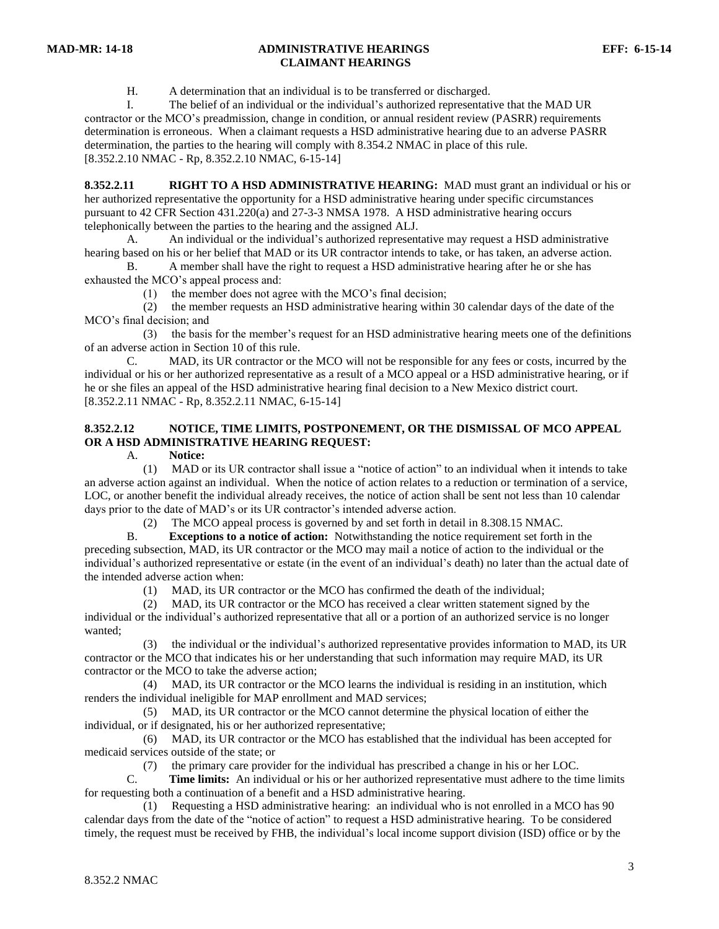H. A determination that an individual is to be transferred or discharged.

I. The belief of an individual or the individual's authorized representative that the MAD UR contractor or the MCO's preadmission, change in condition, or annual resident review (PASRR) requirements determination is erroneous. When a claimant requests a HSD administrative hearing due to an adverse PASRR determination, the parties to the hearing will comply with 8.354.2 NMAC in place of this rule. [8.352.2.10 NMAC - Rp, 8.352.2.10 NMAC, 6-15-14]

<span id="page-4-0"></span>**8.352.2.11 RIGHT TO A HSD ADMINISTRATIVE HEARING:** MAD must grant an individual or his or her authorized representative the opportunity for a HSD administrative hearing under specific circumstances pursuant to 42 CFR Section 431.220(a) and 27-3-3 NMSA 1978. A HSD administrative hearing occurs telephonically between the parties to the hearing and the assigned ALJ.

A. An individual or the individual's authorized representative may request a HSD administrative hearing based on his or her belief that MAD or its UR contractor intends to take, or has taken, an adverse action.

B. A member shall have the right to request a HSD administrative hearing after he or she has exhausted the MCO's appeal process and:

(1) the member does not agree with the MCO's final decision;

 (2) the member requests an HSD administrative hearing within 30 calendar days of the date of the MCO's final decision; and

 (3) the basis for the member's request for an HSD administrative hearing meets one of the definitions of an adverse action in Section 10 of this rule.

C. MAD, its UR contractor or the MCO will not be responsible for any fees or costs, incurred by the individual or his or her authorized representative as a result of a MCO appeal or a HSD administrative hearing, or if he or she files an appeal of the HSD administrative hearing final decision to a New Mexico district court. [8.352.2.11 NMAC - Rp, 8.352.2.11 NMAC, 6-15-14]

# <span id="page-4-1"></span>**8.352.2.12 NOTICE, TIME LIMITS, POSTPONEMENT, OR THE DISMISSAL OF MCO APPEAL OR A HSD ADMINISTRATIVE HEARING REQUEST:**

A. **Notice:**

 (1) MAD or its UR contractor shall issue a "notice of action" to an individual when it intends to take an adverse action against an individual. When the notice of action relates to a reduction or termination of a service, LOC, or another benefit the individual already receives, the notice of action shall be sent not less than 10 calendar days prior to the date of MAD's or its UR contractor's intended adverse action.

(2) The MCO appeal process is governed by and set forth in detail in 8.308.15 NMAC.

B. **Exceptions to a notice of action:** Notwithstanding the notice requirement set forth in the preceding subsection, MAD, its UR contractor or the MCO may mail a notice of action to the individual or the individual's authorized representative or estate (in the event of an individual's death) no later than the actual date of the intended adverse action when:

(1) MAD, its UR contractor or the MCO has confirmed the death of the individual;

 (2) MAD, its UR contractor or the MCO has received a clear written statement signed by the individual or the individual's authorized representative that all or a portion of an authorized service is no longer wanted;

 (3) the individual or the individual's authorized representative provides information to MAD, its UR contractor or the MCO that indicates his or her understanding that such information may require MAD, its UR contractor or the MCO to take the adverse action;

 (4) MAD, its UR contractor or the MCO learns the individual is residing in an institution, which renders the individual ineligible for MAP enrollment and MAD services;

 (5) MAD, its UR contractor or the MCO cannot determine the physical location of either the individual, or if designated, his or her authorized representative;

 (6) MAD, its UR contractor or the MCO has established that the individual has been accepted for medicaid services outside of the state; or

(7) the primary care provider for the individual has prescribed a change in his or her LOC.

C. **Time limits:** An individual or his or her authorized representative must adhere to the time limits for requesting both a continuation of a benefit and a HSD administrative hearing.

 (1) Requesting a HSD administrative hearing: an individual who is not enrolled in a MCO has 90 calendar days from the date of the "notice of action" to request a HSD administrative hearing. To be considered timely, the request must be received by FHB, the individual's local income support division (ISD) office or by the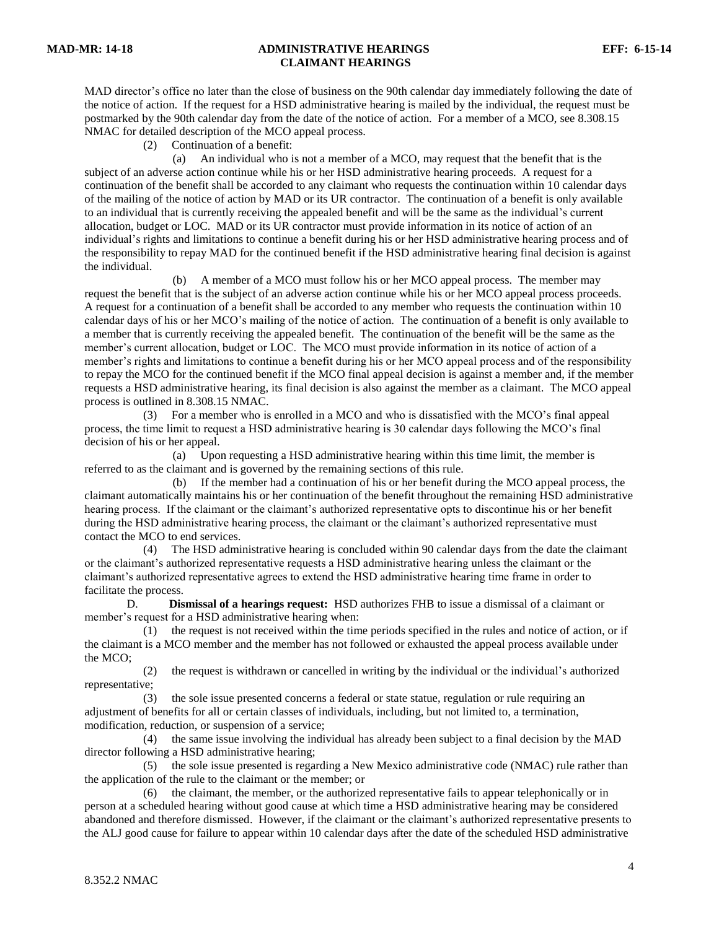MAD director's office no later than the close of business on the 90th calendar day immediately following the date of the notice of action. If the request for a HSD administrative hearing is mailed by the individual, the request must be postmarked by the 90th calendar day from the date of the notice of action. For a member of a MCO, see 8.308.15 NMAC for detailed description of the MCO appeal process.

(2) Continuation of a benefit:

 (a) An individual who is not a member of a MCO, may request that the benefit that is the subject of an adverse action continue while his or her HSD administrative hearing proceeds. A request for a continuation of the benefit shall be accorded to any claimant who requests the continuation within 10 calendar days of the mailing of the notice of action by MAD or its UR contractor. The continuation of a benefit is only available to an individual that is currently receiving the appealed benefit and will be the same as the individual's current allocation, budget or LOC. MAD or its UR contractor must provide information in its notice of action of an individual's rights and limitations to continue a benefit during his or her HSD administrative hearing process and of the responsibility to repay MAD for the continued benefit if the HSD administrative hearing final decision is against the individual.

 (b) A member of a MCO must follow his or her MCO appeal process. The member may request the benefit that is the subject of an adverse action continue while his or her MCO appeal process proceeds. A request for a continuation of a benefit shall be accorded to any member who requests the continuation within 10 calendar days of his or her MCO's mailing of the notice of action. The continuation of a benefit is only available to a member that is currently receiving the appealed benefit. The continuation of the benefit will be the same as the member's current allocation, budget or LOC. The MCO must provide information in its notice of action of a member's rights and limitations to continue a benefit during his or her MCO appeal process and of the responsibility to repay the MCO for the continued benefit if the MCO final appeal decision is against a member and, if the member requests a HSD administrative hearing, its final decision is also against the member as a claimant. The MCO appeal process is outlined in 8.308.15 NMAC.

 (3) For a member who is enrolled in a MCO and who is dissatisfied with the MCO's final appeal process, the time limit to request a HSD administrative hearing is 30 calendar days following the MCO's final decision of his or her appeal.

 (a) Upon requesting a HSD administrative hearing within this time limit, the member is referred to as the claimant and is governed by the remaining sections of this rule.

 (b) If the member had a continuation of his or her benefit during the MCO appeal process, the claimant automatically maintains his or her continuation of the benefit throughout the remaining HSD administrative hearing process. If the claimant or the claimant's authorized representative opts to discontinue his or her benefit during the HSD administrative hearing process, the claimant or the claimant's authorized representative must contact the MCO to end services.

 (4) The HSD administrative hearing is concluded within 90 calendar days from the date the claimant or the claimant's authorized representative requests a HSD administrative hearing unless the claimant or the claimant's authorized representative agrees to extend the HSD administrative hearing time frame in order to facilitate the process.

D. **Dismissal of a hearings request:** HSD authorizes FHB to issue a dismissal of a claimant or member's request for a HSD administrative hearing when:

 (1) the request is not received within the time periods specified in the rules and notice of action, or if the claimant is a MCO member and the member has not followed or exhausted the appeal process available under the MCO;

 (2) the request is withdrawn or cancelled in writing by the individual or the individual's authorized representative;

 (3) the sole issue presented concerns a federal or state statue, regulation or rule requiring an adjustment of benefits for all or certain classes of individuals, including, but not limited to, a termination, modification, reduction, or suspension of a service;

 (4) the same issue involving the individual has already been subject to a final decision by the MAD director following a HSD administrative hearing;

 (5) the sole issue presented is regarding a New Mexico administrative code (NMAC) rule rather than the application of the rule to the claimant or the member; or

 (6) the claimant, the member, or the authorized representative fails to appear telephonically or in person at a scheduled hearing without good cause at which time a HSD administrative hearing may be considered abandoned and therefore dismissed. However, if the claimant or the claimant's authorized representative presents to the ALJ good cause for failure to appear within 10 calendar days after the date of the scheduled HSD administrative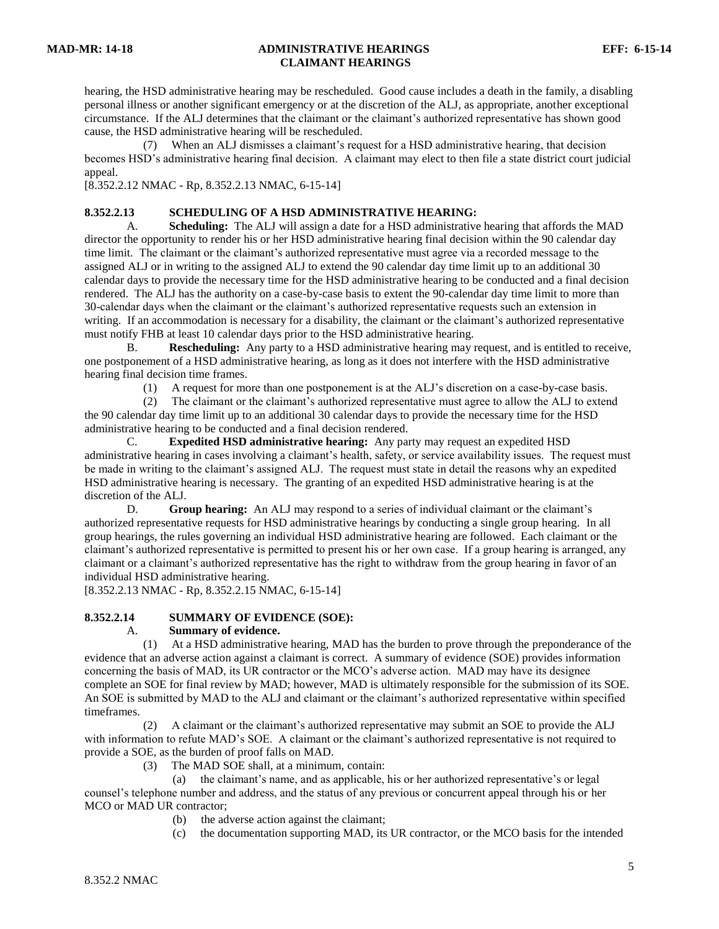hearing, the HSD administrative hearing may be rescheduled. Good cause includes a death in the family, a disabling personal illness or another significant emergency or at the discretion of the ALJ, as appropriate, another exceptional circumstance. If the ALJ determines that the claimant or the claimant's authorized representative has shown good cause, the HSD administrative hearing will be rescheduled.

 (7) When an ALJ dismisses a claimant's request for a HSD administrative hearing, that decision becomes HSD's administrative hearing final decision. A claimant may elect to then file a state district court judicial appeal.

[8.352.2.12 NMAC - Rp, 8.352.2.13 NMAC, 6-15-14]

# <span id="page-6-0"></span>**8.352.2.13 SCHEDULING OF A HSD ADMINISTRATIVE HEARING:**

A. **Scheduling:** The ALJ will assign a date for a HSD administrative hearing that affords the MAD director the opportunity to render his or her HSD administrative hearing final decision within the 90 calendar day time limit. The claimant or the claimant's authorized representative must agree via a recorded message to the assigned ALJ or in writing to the assigned ALJ to extend the 90 calendar day time limit up to an additional 30 calendar days to provide the necessary time for the HSD administrative hearing to be conducted and a final decision rendered. The ALJ has the authority on a case-by-case basis to extent the 90-calendar day time limit to more than 30-calendar days when the claimant or the claimant's authorized representative requests such an extension in writing. If an accommodation is necessary for a disability, the claimant or the claimant's authorized representative must notify FHB at least 10 calendar days prior to the HSD administrative hearing.

B. **Rescheduling:** Any party to a HSD administrative hearing may request, and is entitled to receive, one postponement of a HSD administrative hearing, as long as it does not interfere with the HSD administrative hearing final decision time frames.

(1) A request for more than one postponement is at the ALJ's discretion on a case-by-case basis.

 (2) The claimant or the claimant's authorized representative must agree to allow the ALJ to extend the 90 calendar day time limit up to an additional 30 calendar days to provide the necessary time for the HSD administrative hearing to be conducted and a final decision rendered.

C. **Expedited HSD administrative hearing:** Any party may request an expedited HSD administrative hearing in cases involving a claimant's health, safety, or service availability issues. The request must be made in writing to the claimant's assigned ALJ. The request must state in detail the reasons why an expedited HSD administrative hearing is necessary. The granting of an expedited HSD administrative hearing is at the discretion of the ALJ.

D. **Group hearing:** An ALJ may respond to a series of individual claimant or the claimant's authorized representative requests for HSD administrative hearings by conducting a single group hearing. In all group hearings, the rules governing an individual HSD administrative hearing are followed. Each claimant or the claimant's authorized representative is permitted to present his or her own case. If a group hearing is arranged, any claimant or a claimant's authorized representative has the right to withdraw from the group hearing in favor of an individual HSD administrative hearing.

[8.352.2.13 NMAC - Rp, 8.352.2.15 NMAC, 6-15-14]

## <span id="page-6-1"></span>**8.352.2.14 SUMMARY OF EVIDENCE (SOE):**

## A. **Summary of evidence.**

 (1) At a HSD administrative hearing, MAD has the burden to prove through the preponderance of the evidence that an adverse action against a claimant is correct. A summary of evidence (SOE) provides information concerning the basis of MAD, its UR contractor or the MCO's adverse action. MAD may have its designee complete an SOE for final review by MAD; however, MAD is ultimately responsible for the submission of its SOE. An SOE is submitted by MAD to the ALJ and claimant or the claimant's authorized representative within specified timeframes.

 (2) A claimant or the claimant's authorized representative may submit an SOE to provide the ALJ with information to refute MAD's SOE. A claimant or the claimant's authorized representative is not required to provide a SOE, as the burden of proof falls on MAD.

(3) The MAD SOE shall, at a minimum, contain:

 (a) the claimant's name, and as applicable, his or her authorized representative's or legal counsel's telephone number and address, and the status of any previous or concurrent appeal through his or her MCO or MAD UR contractor;<br>(b) the ad

- the adverse action against the claimant;
- (c) the documentation supporting MAD, its UR contractor, or the MCO basis for the intended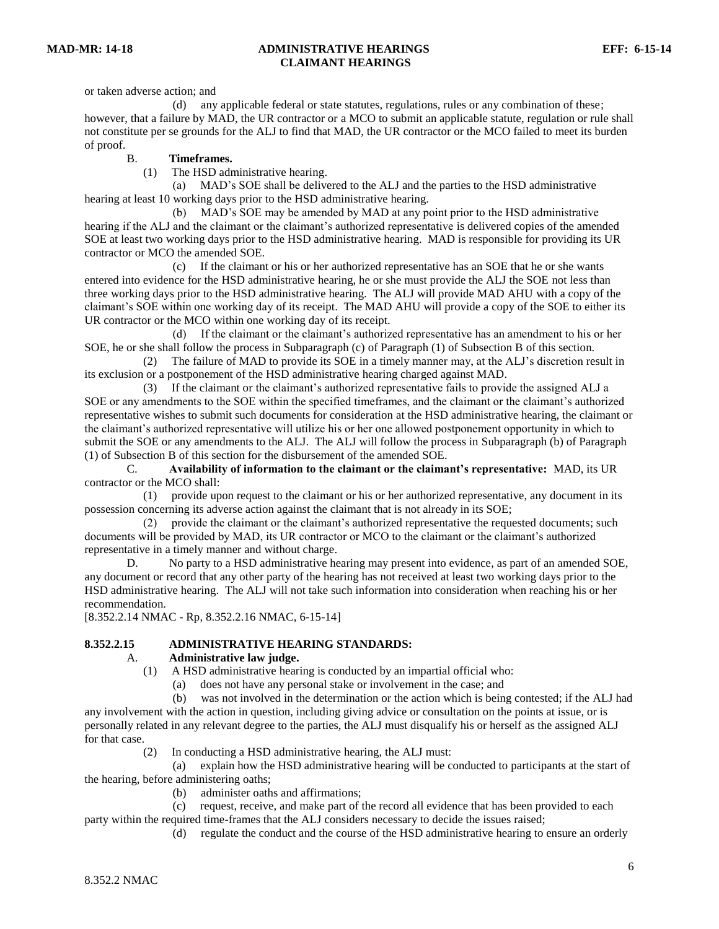or taken adverse action; and

 (d) any applicable federal or state statutes, regulations, rules or any combination of these; however, that a failure by MAD, the UR contractor or a MCO to submit an applicable statute, regulation or rule shall not constitute per se grounds for the ALJ to find that MAD, the UR contractor or the MCO failed to meet its burden of proof.

## B. **Timeframes.**

(1) The HSD administrative hearing.

 (a) MAD's SOE shall be delivered to the ALJ and the parties to the HSD administrative hearing at least 10 working days prior to the HSD administrative hearing.

 (b) MAD's SOE may be amended by MAD at any point prior to the HSD administrative hearing if the ALJ and the claimant or the claimant's authorized representative is delivered copies of the amended SOE at least two working days prior to the HSD administrative hearing. MAD is responsible for providing its UR contractor or MCO the amended SOE.

 (c) If the claimant or his or her authorized representative has an SOE that he or she wants entered into evidence for the HSD administrative hearing, he or she must provide the ALJ the SOE not less than three working days prior to the HSD administrative hearing. The ALJ will provide MAD AHU with a copy of the claimant's SOE within one working day of its receipt. The MAD AHU will provide a copy of the SOE to either its UR contractor or the MCO within one working day of its receipt.

 (d) If the claimant or the claimant's authorized representative has an amendment to his or her SOE, he or she shall follow the process in Subparagraph (c) of Paragraph (1) of Subsection B of this section.

 (2) The failure of MAD to provide its SOE in a timely manner may, at the ALJ's discretion result in its exclusion or a postponement of the HSD administrative hearing charged against MAD.

 (3) If the claimant or the claimant's authorized representative fails to provide the assigned ALJ a SOE or any amendments to the SOE within the specified timeframes, and the claimant or the claimant's authorized representative wishes to submit such documents for consideration at the HSD administrative hearing, the claimant or the claimant's authorized representative will utilize his or her one allowed postponement opportunity in which to submit the SOE or any amendments to the ALJ. The ALJ will follow the process in Subparagraph (b) of Paragraph (1) of Subsection B of this section for the disbursement of the amended SOE.

C. **Availability of information to the claimant or the claimant's representative:** MAD, its UR contractor or the MCO shall:

 (1) provide upon request to the claimant or his or her authorized representative, any document in its possession concerning its adverse action against the claimant that is not already in its SOE;

 (2) provide the claimant or the claimant's authorized representative the requested documents; such documents will be provided by MAD, its UR contractor or MCO to the claimant or the claimant's authorized representative in a timely manner and without charge.

D. No party to a HSD administrative hearing may present into evidence, as part of an amended SOE, any document or record that any other party of the hearing has not received at least two working days prior to the HSD administrative hearing. The ALJ will not take such information into consideration when reaching his or her recommendation.

[8.352.2.14 NMAC - Rp, 8.352.2.16 NMAC, 6-15-14]

## <span id="page-7-0"></span>**8.352.2.15 ADMINISTRATIVE HEARING STANDARDS:**

## A. **Administrative law judge.**

- (1) A HSD administrative hearing is conducted by an impartial official who:
	- (a) does not have any personal stake or involvement in the case; and

 (b) was not involved in the determination or the action which is being contested; if the ALJ had any involvement with the action in question, including giving advice or consultation on the points at issue, or is personally related in any relevant degree to the parties, the ALJ must disqualify his or herself as the assigned ALJ for that case.

(2) In conducting a HSD administrative hearing, the ALJ must:

 (a) explain how the HSD administrative hearing will be conducted to participants at the start of the hearing, before administering oaths;

(b) administer oaths and affirmations;

 (c) request, receive, and make part of the record all evidence that has been provided to each party within the required time-frames that the ALJ considers necessary to decide the issues raised;

(d) regulate the conduct and the course of the HSD administrative hearing to ensure an orderly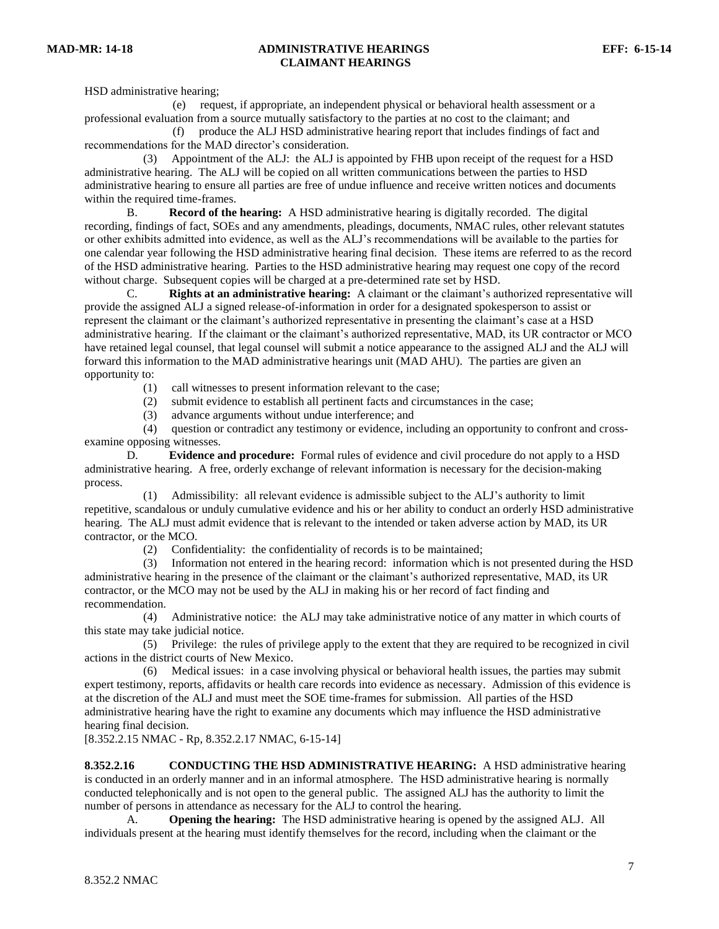HSD administrative hearing;

 (e) request, if appropriate, an independent physical or behavioral health assessment or a professional evaluation from a source mutually satisfactory to the parties at no cost to the claimant; and

 (f) produce the ALJ HSD administrative hearing report that includes findings of fact and recommendations for the MAD director's consideration.

 (3) Appointment of the ALJ: the ALJ is appointed by FHB upon receipt of the request for a HSD administrative hearing. The ALJ will be copied on all written communications between the parties to HSD administrative hearing to ensure all parties are free of undue influence and receive written notices and documents within the required time-frames.

B. **Record of the hearing:** A HSD administrative hearing is digitally recorded. The digital recording, findings of fact, SOEs and any amendments, pleadings, documents, NMAC rules, other relevant statutes or other exhibits admitted into evidence, as well as the ALJ's recommendations will be available to the parties for one calendar year following the HSD administrative hearing final decision. These items are referred to as the record of the HSD administrative hearing. Parties to the HSD administrative hearing may request one copy of the record without charge. Subsequent copies will be charged at a pre-determined rate set by HSD.

C. **Rights at an administrative hearing:** A claimant or the claimant's authorized representative will provide the assigned ALJ a signed release-of-information in order for a designated spokesperson to assist or represent the claimant or the claimant's authorized representative in presenting the claimant's case at a HSD administrative hearing. If the claimant or the claimant's authorized representative, MAD, its UR contractor or MCO have retained legal counsel, that legal counsel will submit a notice appearance to the assigned ALJ and the ALJ will forward this information to the MAD administrative hearings unit (MAD AHU). The parties are given an opportunity to:

- (1) call witnesses to present information relevant to the case;
- (2) submit evidence to establish all pertinent facts and circumstances in the case;
- (3) advance arguments without undue interference; and

 (4) question or contradict any testimony or evidence, including an opportunity to confront and crossexamine opposing witnesses.

D. **Evidence and procedure:** Formal rules of evidence and civil procedure do not apply to a HSD administrative hearing. A free, orderly exchange of relevant information is necessary for the decision-making process.

 (1) Admissibility: all relevant evidence is admissible subject to the ALJ's authority to limit repetitive, scandalous or unduly cumulative evidence and his or her ability to conduct an orderly HSD administrative hearing. The ALJ must admit evidence that is relevant to the intended or taken adverse action by MAD, its UR contractor, or the MCO.

(2) Confidentiality: the confidentiality of records is to be maintained;

 (3) Information not entered in the hearing record: information which is not presented during the HSD administrative hearing in the presence of the claimant or the claimant's authorized representative, MAD, its UR contractor, or the MCO may not be used by the ALJ in making his or her record of fact finding and recommendation.

 (4) Administrative notice: the ALJ may take administrative notice of any matter in which courts of this state may take judicial notice.

 (5) Privilege: the rules of privilege apply to the extent that they are required to be recognized in civil actions in the district courts of New Mexico.

 (6) Medical issues: in a case involving physical or behavioral health issues, the parties may submit expert testimony, reports, affidavits or health care records into evidence as necessary. Admission of this evidence is at the discretion of the ALJ and must meet the SOE time-frames for submission. All parties of the HSD administrative hearing have the right to examine any documents which may influence the HSD administrative hearing final decision.

[8.352.2.15 NMAC - Rp, 8.352.2.17 NMAC, 6-15-14]

<span id="page-8-0"></span>**8.352.2.16 CONDUCTING THE HSD ADMINISTRATIVE HEARING:** A HSD administrative hearing is conducted in an orderly manner and in an informal atmosphere. The HSD administrative hearing is normally conducted telephonically and is not open to the general public. The assigned ALJ has the authority to limit the number of persons in attendance as necessary for the ALJ to control the hearing.

A. **Opening the hearing:** The HSD administrative hearing is opened by the assigned ALJ. All individuals present at the hearing must identify themselves for the record, including when the claimant or the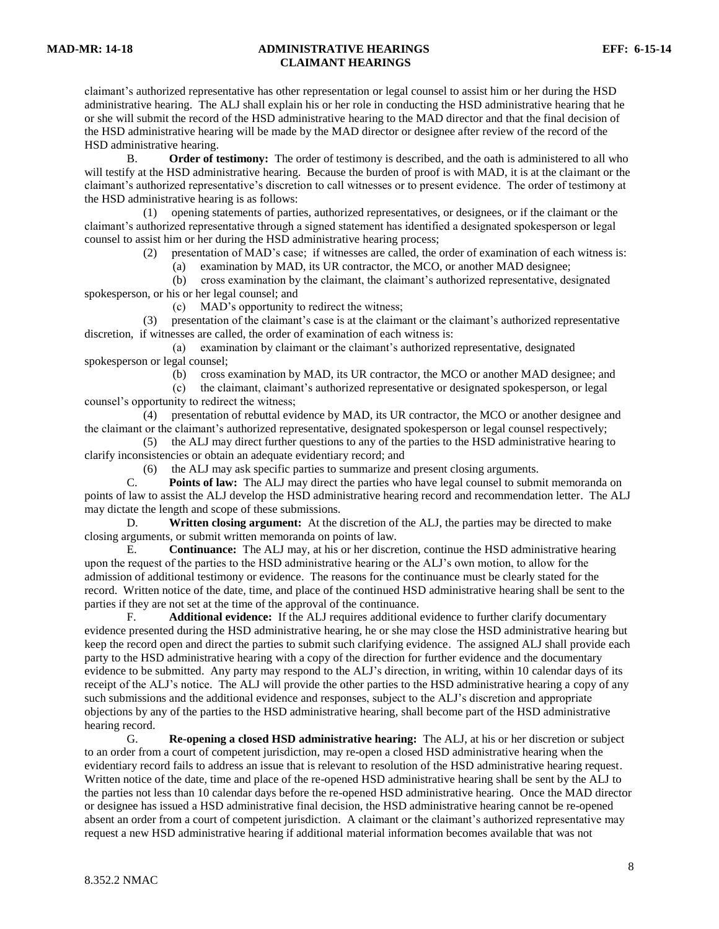claimant's authorized representative has other representation or legal counsel to assist him or her during the HSD administrative hearing. The ALJ shall explain his or her role in conducting the HSD administrative hearing that he or she will submit the record of the HSD administrative hearing to the MAD director and that the final decision of the HSD administrative hearing will be made by the MAD director or designee after review of the record of the HSD administrative hearing.

B. **Order of testimony:** The order of testimony is described, and the oath is administered to all who will testify at the HSD administrative hearing. Because the burden of proof is with MAD, it is at the claimant or the claimant's authorized representative's discretion to call witnesses or to present evidence. The order of testimony at the HSD administrative hearing is as follows:

 (1) opening statements of parties, authorized representatives, or designees, or if the claimant or the claimant's authorized representative through a signed statement has identified a designated spokesperson or legal counsel to assist him or her during the HSD administrative hearing process;

(2) presentation of MAD's case; if witnesses are called, the order of examination of each witness is:

(a) examination by MAD, its UR contractor, the MCO, or another MAD designee;

 (b) cross examination by the claimant, the claimant's authorized representative, designated spokesperson, or his or her legal counsel; and

(c) MAD's opportunity to redirect the witness;

 (3) presentation of the claimant's case is at the claimant or the claimant's authorized representative discretion, if witnesses are called, the order of examination of each witness is:

 (a) examination by claimant or the claimant's authorized representative, designated spokesperson or legal counsel;

(b) cross examination by MAD, its UR contractor, the MCO or another MAD designee; and

 (c) the claimant, claimant's authorized representative or designated spokesperson, or legal counsel's opportunity to redirect the witness;

 (4) presentation of rebuttal evidence by MAD, its UR contractor, the MCO or another designee and the claimant or the claimant's authorized representative, designated spokesperson or legal counsel respectively;

 (5) the ALJ may direct further questions to any of the parties to the HSD administrative hearing to clarify inconsistencies or obtain an adequate evidentiary record; and

(6) the ALJ may ask specific parties to summarize and present closing arguments.

C. **Points of law:** The ALJ may direct the parties who have legal counsel to submit memoranda on points of law to assist the ALJ develop the HSD administrative hearing record and recommendation letter. The ALJ may dictate the length and scope of these submissions.

D. **Written closing argument:** At the discretion of the ALJ, the parties may be directed to make closing arguments, or submit written memoranda on points of law.

E. **Continuance:** The ALJ may, at his or her discretion, continue the HSD administrative hearing upon the request of the parties to the HSD administrative hearing or the ALJ's own motion, to allow for the admission of additional testimony or evidence. The reasons for the continuance must be clearly stated for the record. Written notice of the date, time, and place of the continued HSD administrative hearing shall be sent to the parties if they are not set at the time of the approval of the continuance.

F. **Additional evidence:** If the ALJ requires additional evidence to further clarify documentary evidence presented during the HSD administrative hearing, he or she may close the HSD administrative hearing but keep the record open and direct the parties to submit such clarifying evidence. The assigned ALJ shall provide each party to the HSD administrative hearing with a copy of the direction for further evidence and the documentary evidence to be submitted. Any party may respond to the ALJ's direction, in writing, within 10 calendar days of its receipt of the ALJ's notice. The ALJ will provide the other parties to the HSD administrative hearing a copy of any such submissions and the additional evidence and responses, subject to the ALJ's discretion and appropriate objections by any of the parties to the HSD administrative hearing, shall become part of the HSD administrative hearing record.

G. **Re-opening a closed HSD administrative hearing:** The ALJ, at his or her discretion or subject to an order from a court of competent jurisdiction, may re-open a closed HSD administrative hearing when the evidentiary record fails to address an issue that is relevant to resolution of the HSD administrative hearing request. Written notice of the date, time and place of the re-opened HSD administrative hearing shall be sent by the ALJ to the parties not less than 10 calendar days before the re-opened HSD administrative hearing. Once the MAD director or designee has issued a HSD administrative final decision, the HSD administrative hearing cannot be re-opened absent an order from a court of competent jurisdiction. A claimant or the claimant's authorized representative may request a new HSD administrative hearing if additional material information becomes available that was not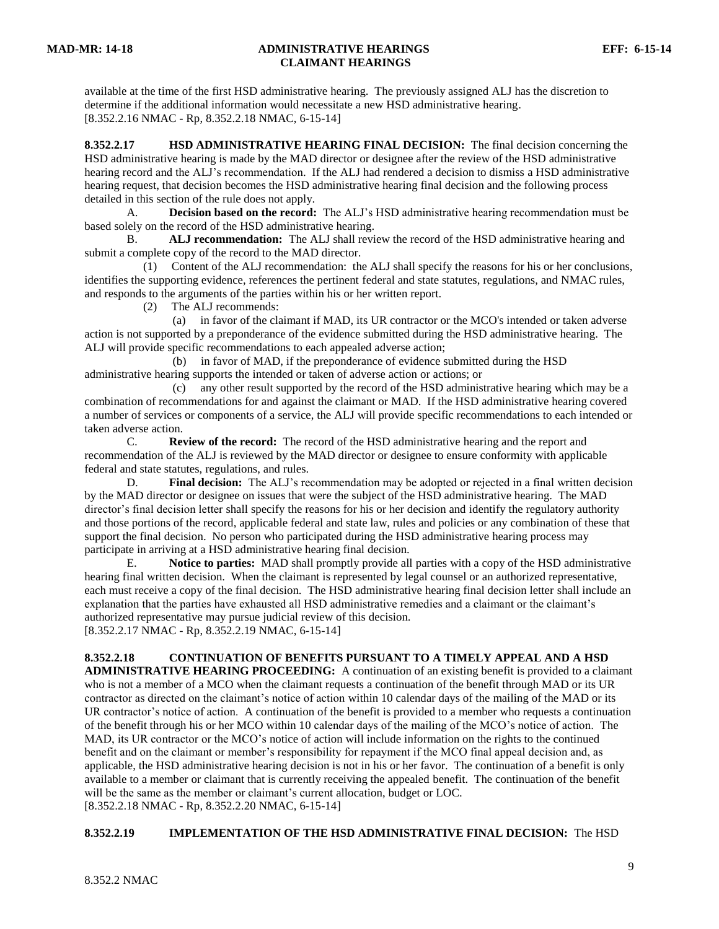available at the time of the first HSD administrative hearing. The previously assigned ALJ has the discretion to determine if the additional information would necessitate a new HSD administrative hearing. [8.352.2.16 NMAC - Rp, 8.352.2.18 NMAC, 6-15-14]

<span id="page-10-0"></span>**8.352.2.17 HSD ADMINISTRATIVE HEARING FINAL DECISION:** The final decision concerning the HSD administrative hearing is made by the MAD director or designee after the review of the HSD administrative hearing record and the ALJ's recommendation. If the ALJ had rendered a decision to dismiss a HSD administrative hearing request, that decision becomes the HSD administrative hearing final decision and the following process detailed in this section of the rule does not apply.

A. **Decision based on the record:** The ALJ's HSD administrative hearing recommendation must be based solely on the record of the HSD administrative hearing.

B. **ALJ recommendation:** The ALJ shall review the record of the HSD administrative hearing and submit a complete copy of the record to the MAD director.

 (1) Content of the ALJ recommendation: the ALJ shall specify the reasons for his or her conclusions, identifies the supporting evidence, references the pertinent federal and state statutes, regulations, and NMAC rules, and responds to the arguments of the parties within his or her written report.

(2) The ALJ recommends:

 (a) in favor of the claimant if MAD, its UR contractor or the MCO's intended or taken adverse action is not supported by a preponderance of the evidence submitted during the HSD administrative hearing. The ALJ will provide specific recommendations to each appealed adverse action;<br>(b) in favor of MAD, if the preponderance of evidence s

in favor of MAD, if the preponderance of evidence submitted during the HSD administrative hearing supports the intended or taken of adverse action or actions; or

 (c) any other result supported by the record of the HSD administrative hearing which may be a combination of recommendations for and against the claimant or MAD. If the HSD administrative hearing covered a number of services or components of a service, the ALJ will provide specific recommendations to each intended or taken adverse action.

C. **Review of the record:** The record of the HSD administrative hearing and the report and recommendation of the ALJ is reviewed by the MAD director or designee to ensure conformity with applicable federal and state statutes, regulations, and rules.

D. **Final decision:** The ALJ's recommendation may be adopted or rejected in a final written decision by the MAD director or designee on issues that were the subject of the HSD administrative hearing. The MAD director's final decision letter shall specify the reasons for his or her decision and identify the regulatory authority and those portions of the record, applicable federal and state law, rules and policies or any combination of these that support the final decision. No person who participated during the HSD administrative hearing process may participate in arriving at a HSD administrative hearing final decision.

E. **Notice to parties:** MAD shall promptly provide all parties with a copy of the HSD administrative hearing final written decision. When the claimant is represented by legal counsel or an authorized representative, each must receive a copy of the final decision. The HSD administrative hearing final decision letter shall include an explanation that the parties have exhausted all HSD administrative remedies and a claimant or the claimant's authorized representative may pursue judicial review of this decision. [8.352.2.17 NMAC - Rp, 8.352.2.19 NMAC, 6-15-14]

# <span id="page-10-1"></span>**8.352.2.18 CONTINUATION OF BENEFITS PURSUANT TO A TIMELY APPEAL AND A HSD**

**ADMINISTRATIVE HEARING PROCEEDING:** A continuation of an existing benefit is provided to a claimant who is not a member of a MCO when the claimant requests a continuation of the benefit through MAD or its UR contractor as directed on the claimant's notice of action within 10 calendar days of the mailing of the MAD or its UR contractor's notice of action. A continuation of the benefit is provided to a member who requests a continuation of the benefit through his or her MCO within 10 calendar days of the mailing of the MCO's notice of action. The MAD, its UR contractor or the MCO's notice of action will include information on the rights to the continued benefit and on the claimant or member's responsibility for repayment if the MCO final appeal decision and, as applicable, the HSD administrative hearing decision is not in his or her favor. The continuation of a benefit is only available to a member or claimant that is currently receiving the appealed benefit. The continuation of the benefit will be the same as the member or claimant's current allocation, budget or LOC. [8.352.2.18 NMAC - Rp, 8.352.2.20 NMAC, 6-15-14]

## <span id="page-10-2"></span>**8.352.2.19 IMPLEMENTATION OF THE HSD ADMINISTRATIVE FINAL DECISION:** The HSD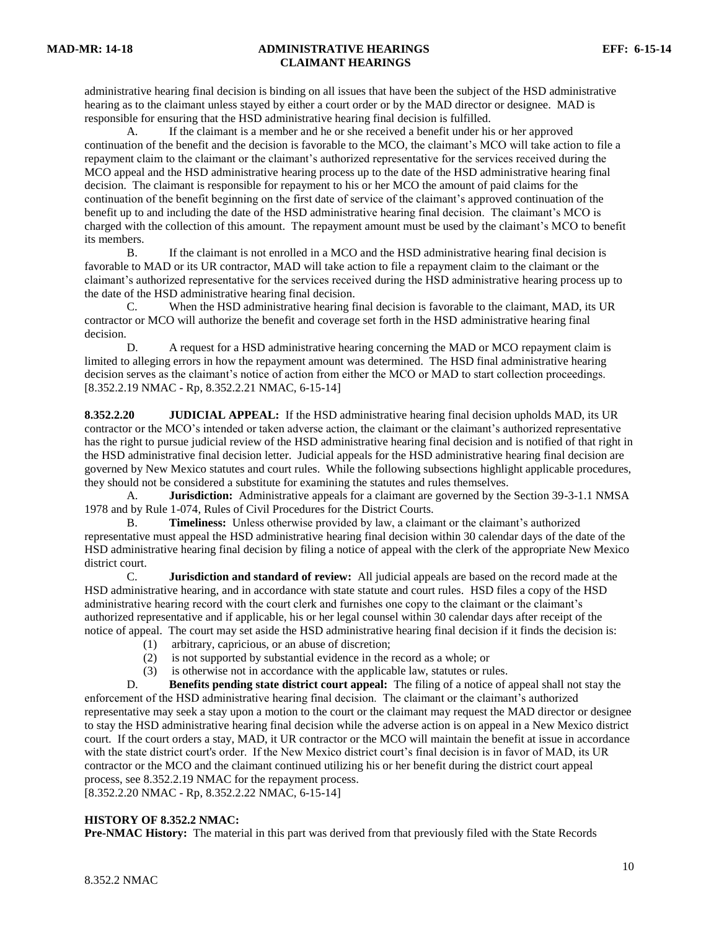administrative hearing final decision is binding on all issues that have been the subject of the HSD administrative hearing as to the claimant unless stayed by either a court order or by the MAD director or designee. MAD is responsible for ensuring that the HSD administrative hearing final decision is fulfilled.<br>A. If the claimant is a member and he or she received a benefit under his

If the claimant is a member and he or she received a benefit under his or her approved continuation of the benefit and the decision is favorable to the MCO, the claimant's MCO will take action to file a repayment claim to the claimant or the claimant's authorized representative for the services received during the MCO appeal and the HSD administrative hearing process up to the date of the HSD administrative hearing final decision. The claimant is responsible for repayment to his or her MCO the amount of paid claims for the continuation of the benefit beginning on the first date of service of the claimant's approved continuation of the benefit up to and including the date of the HSD administrative hearing final decision. The claimant's MCO is charged with the collection of this amount. The repayment amount must be used by the claimant's MCO to benefit its members.

B. If the claimant is not enrolled in a MCO and the HSD administrative hearing final decision is favorable to MAD or its UR contractor, MAD will take action to file a repayment claim to the claimant or the claimant's authorized representative for the services received during the HSD administrative hearing process up to the date of the HSD administrative hearing final decision.

C. When the HSD administrative hearing final decision is favorable to the claimant, MAD, its UR contractor or MCO will authorize the benefit and coverage set forth in the HSD administrative hearing final decision.

D. A request for a HSD administrative hearing concerning the MAD or MCO repayment claim is limited to alleging errors in how the repayment amount was determined. The HSD final administrative hearing decision serves as the claimant's notice of action from either the MCO or MAD to start collection proceedings. [8.352.2.19 NMAC - Rp, 8.352.2.21 NMAC, 6-15-14]

<span id="page-11-0"></span>**8.352.2.20 JUDICIAL APPEAL:** If the HSD administrative hearing final decision upholds MAD, its UR contractor or the MCO's intended or taken adverse action, the claimant or the claimant's authorized representative has the right to pursue judicial review of the HSD administrative hearing final decision and is notified of that right in the HSD administrative final decision letter. Judicial appeals for the HSD administrative hearing final decision are governed by New Mexico statutes and court rules. While the following subsections highlight applicable procedures, they should not be considered a substitute for examining the statutes and rules themselves.

A. **Jurisdiction:** Administrative appeals for a claimant are governed by the Section 39-3-1.1 NMSA 1978 and by Rule 1-074, Rules of Civil Procedures for the District Courts.

B. **Timeliness:** Unless otherwise provided by law, a claimant or the claimant's authorized representative must appeal the HSD administrative hearing final decision within 30 calendar days of the date of the HSD administrative hearing final decision by filing a notice of appeal with the clerk of the appropriate New Mexico district court.

C. **Jurisdiction and standard of review:** All judicial appeals are based on the record made at the HSD administrative hearing, and in accordance with state statute and court rules. HSD files a copy of the HSD administrative hearing record with the court clerk and furnishes one copy to the claimant or the claimant's authorized representative and if applicable, his or her legal counsel within 30 calendar days after receipt of the notice of appeal. The court may set aside the HSD administrative hearing final decision if it finds the decision is:

- (1) arbitrary, capricious, or an abuse of discretion;
- (2) is not supported by substantial evidence in the record as a whole; or
- (3) is otherwise not in accordance with the applicable law, statutes or rules.

D. **Benefits pending state district court appeal:** The filing of a notice of appeal shall not stay the enforcement of the HSD administrative hearing final decision. The claimant or the claimant's authorized representative may seek a stay upon a motion to the court or the claimant may request the MAD director or designee to stay the HSD administrative hearing final decision while the adverse action is on appeal in a New Mexico district court. If the court orders a stay, MAD, it UR contractor or the MCO will maintain the benefit at issue in accordance with the state district court's order. If the New Mexico district court's final decision is in favor of MAD, its UR contractor or the MCO and the claimant continued utilizing his or her benefit during the district court appeal process, see 8.352.2.19 NMAC for the repayment process. [8.352.2.20 NMAC - Rp, 8.352.2.22 NMAC, 6-15-14]

# **HISTORY OF 8.352.2 NMAC:**

**Pre-NMAC History:** The material in this part was derived from that previously filed with the State Records